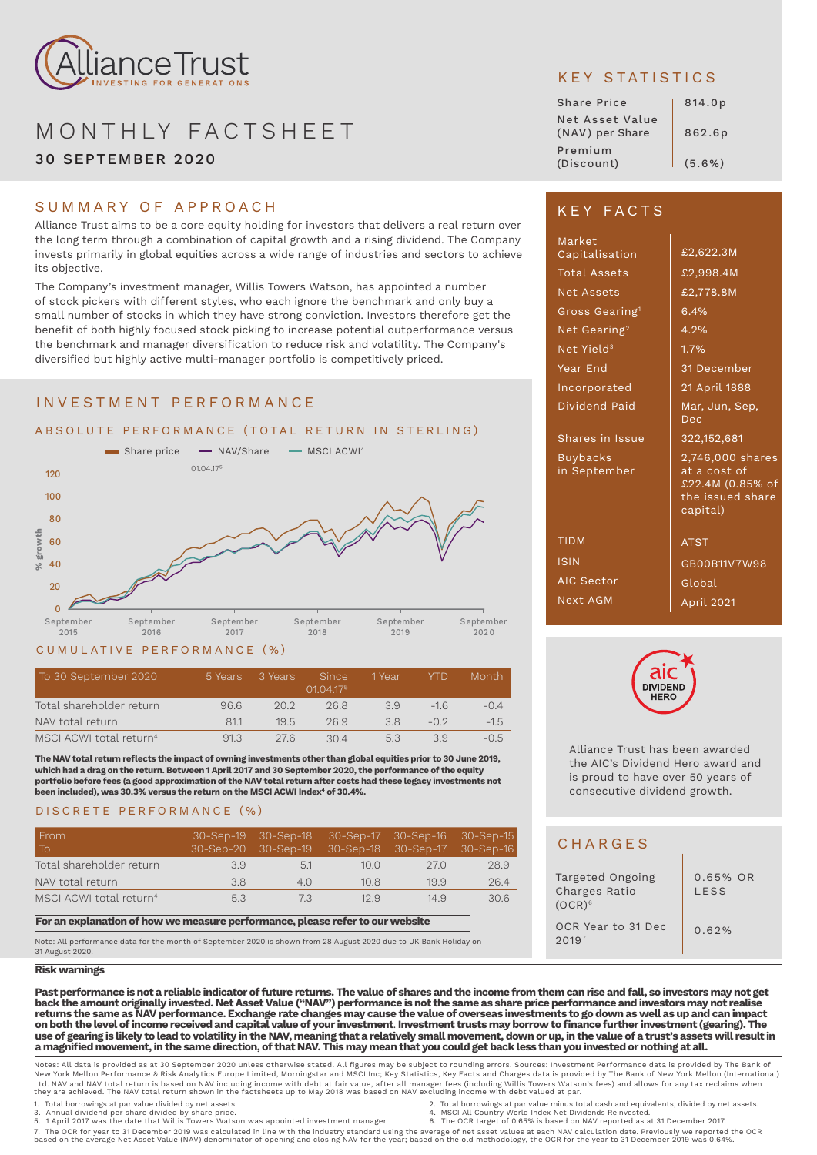

# MONTHLY FACTSHEET 30 SEPTEMBER 2020

## SUMMARY OF APPROACH

Alliance Trust aims to be a core equity holding for investors that delivers a real return over the long term through a combination of capital growth and a rising dividend. The Company invests primarily in global equities across a wide range of industries and sectors to achieve its objective.

The Company's investment manager, Willis Towers Watson, has appointed a number of stock pickers with different styles, who each ignore the benchmark and only buy a small number of stocks in which they have strong conviction. Investors therefore get the benefit of both highly focused stock picking to increase potential outperformance versus the benchmark and manager diversification to reduce risk and volatility. The Company's diversified but highly active multi-manager portfolio is competitively priced.

## INVESTMENT PERFORMANCE



### CUMULATIVE PERFORMANCE (%)

| To 30 September 2020                | 5 Years | 3 Years | <b>Since</b><br>01.04.175 | 1 Year | YTD   | Month  |
|-------------------------------------|---------|---------|---------------------------|--------|-------|--------|
| Total shareholder return            | 96.6    | 202     | 268                       | 39     | $-16$ | $-0.4$ |
| NAV total return                    | 81.1    | 195     | 26.9                      | 38     | $-02$ | $-15$  |
| MSCI ACWI total return <sup>4</sup> | 91.3    | 276     | 304                       | 5.3    | 39    | $-0.5$ |

**The NAV total return reflects the impact of owning investments other than global equities prior to 30 June 2019, which had a drag on the return. Between 1 April 2017 and 30 September 2020, the performance of the equity portfolio before fees (a good approximation of the NAV total return after costs had these legacy investments not been included), was 30.3% versus the return on the MSCI ACWI Index4 of 30.4%.**

## DISCRETE PERFORMANCE (%)

| From<br>l To                        |     | 30-Sep-20 30-Sep-19 30-Sep-18 30-Sep-17 30-Sep-16 |             |      |      |
|-------------------------------------|-----|---------------------------------------------------|-------------|------|------|
| Total shareholder return            | 3.9 | 5.1                                               | 10 $\Omega$ | 27.0 | 28.9 |
| NAV total return                    | 3.8 | 4.0                                               | 10.8        | 19.9 | 26.4 |
| MSCI ACWI total return <sup>4</sup> | 5.3 | 7.3                                               | 12.9        | 14.9 | 30.6 |

**For an explanation of how we measure performance, please refer to our website** 

Note: All performance data for the month of September 2020 is shown from 28 August 2020 due to UK Bank Holiday on 31 August 2020.

#### **Risk warnings**

**Past performance is not a reliable indicator of future returns. The value of shares and the income from them can rise and fall, so investors may not get back the amount originally invested. Net Asset Value ("NAV") performance is not the same as share price performance and investors may not realise returns the same as NAV performance. Exchange rate changes may cause the value of overseas investments to go down as well as up and can impact on both the level of income received and capital value of your investment**. **Investment trusts may borrow to finance further investment (gearing). The use of gearing is likely to lead to volatility in the NAV, meaning that a relatively small movement, down or up, in the value of a trust's assets will result in a magnified movement, in the same direction, of that NAV. This may mean that you could get back less than you invested or nothing at all.**

Notes: All data is provided as at 30 September 2020 unless otherwise stated. All figures may be subject to rounding errors. Sources: Investment Performance data is provided by The Bank of<br>New York Mellon Performance & Risk Ltd. NAV and NAV total return is based on NAV including income with debt at fair value, after all manager fees (including Willis Towers Watson's fees) and allows for any tax reclaims when<br>they are achieved. The NAV total r

- 
- 
- 
- 1. Total borrowings at par value and equivalents, divided by net assets. [1] . [1] . [1] . [1] 2. Total borrowings at par value minus total cash and equivalents, divided by net assets.<br>1. Annual dividend per share divided
	-

7. The OCR for year to 31 December 2019 was calculated in line with the industry standard using the average of net asset values at each NAV calculation date. Previously we reported the OCR<br>based on the average Net Asset V

# KEY STATISTICS

| <b>Share Price</b>                 | 814.0p |
|------------------------------------|--------|
| Net Asset Value<br>(NAV) per Share | 862.6p |
| Premium<br>(Discount)              | (5.6%) |

# KEY FACTS

| Market<br>Capitalisation        | £2,622.3M                                                                            |
|---------------------------------|--------------------------------------------------------------------------------------|
| <b>Total Assets</b>             | £2,998.4M                                                                            |
| <b>Net Assets</b>               | £2,778.8M                                                                            |
| Gross Gearing <sup>1</sup>      | 6.4%                                                                                 |
| Net Gearing <sup>2</sup>        | 4.2%                                                                                 |
| Net Yield <sup>3</sup>          | 1.7%                                                                                 |
| Year End                        | 31 December                                                                          |
| Incorporated                    | 21 April 1888                                                                        |
| Dividend Paid                   | Mar, Jun, Sep,<br>Dec.                                                               |
| Shares in Issue                 | 322, 152, 681                                                                        |
| <b>Buybacks</b><br>in September | 2,746,000 shares<br>at a cost of<br>£22.4M (0.85% of<br>the issued share<br>capital) |
| <b>TIDM</b>                     | <b>ATST</b>                                                                          |
| <b>ISIN</b>                     | GB00B11V7W98                                                                         |
| <b>AIC Sector</b>               | Global                                                                               |
| Next AGM                        | April 2021                                                                           |



Alliance Trust has been awarded the AIC's Dividend Hero award and is proud to have over 50 years of consecutive dividend growth.

# **CHARGES**

| Targeted Ongoing<br>Charges Ratio<br>$(OCR)^6$ | $0.65\%$ OR<br><b>IFSS</b> |
|------------------------------------------------|----------------------------|
| OCR Year to 31 Dec<br>2019 <sup>7</sup>        | 0.62%                      |